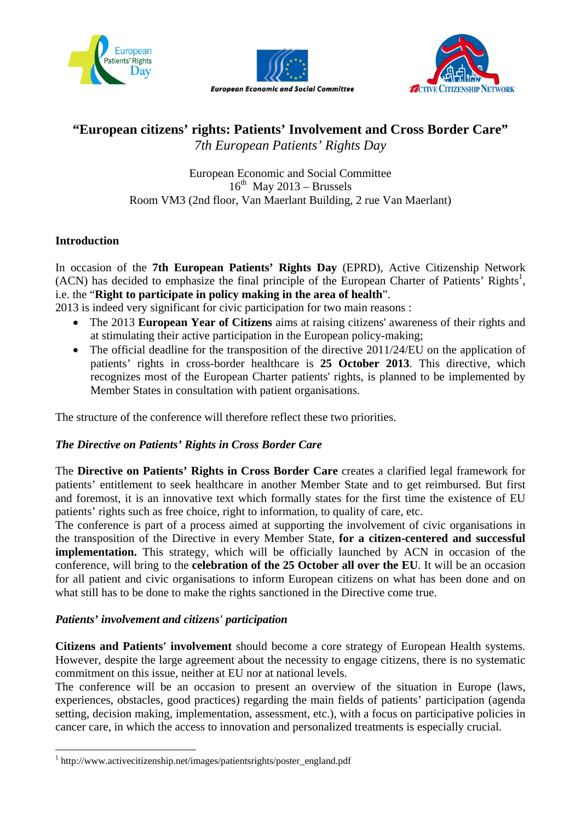





# **"European citizens' rights: Patients' Involvement and Cross Border Care"**  *7th European Patients' Rights Day*

European Economic and Social Committee  $16^{th}$  May 2013 – Brussels Room VM3 (2nd floor, Van Maerlant Building, 2 rue Van Maerlant)

# **Introduction**

 $\overline{a}$ 

In occasion of the **7th European Patients' Rights Day** (EPRD), Active Citizenship Network  $(ACN)$  has decided to emphasize the final principle of the European Charter of Patients' Rights<sup>1</sup>, i.e. the "**Right to participate in policy making in the area of health**".

2013 is indeed very significant for civic participation for two main reasons :

- The 2013 **European Year of Citizens** aims at raising citizens' awareness of their rights and at stimulating their active participation in the European policy-making;
- The official deadline for the transposition of the directive 2011/24/EU on the application of patients' rights in cross-border healthcare is **25 October 2013**. This directive, which recognizes most of the European Charter patients' rights, is planned to be implemented by Member States in consultation with patient organisations.

The structure of the conference will therefore reflect these two priorities.

# *The Directive on Patients' Rights in Cross Border Care*

The **Directive on Patients' Rights in Cross Border Care** creates a clarified legal framework for patients' entitlement to seek healthcare in another Member State and to get reimbursed. But first and foremost, it is an innovative text which formally states for the first time the existence of EU patients' rights such as free choice, right to information, to quality of care, etc.

The conference is part of a process aimed at supporting the involvement of civic organisations in the transposition of the Directive in every Member State, **for a citizen-centered and successful implementation.** This strategy, which will be officially launched by ACN in occasion of the conference, will bring to the **celebration of the 25 October all over the EU**. It will be an occasion for all patient and civic organisations to inform European citizens on what has been done and on what still has to be done to make the rights sanctioned in the Directive come true.

# *Patients' involvement and citizens' participation*

**Citizens and Patients' involvement** should become a core strategy of European Health systems. However, despite the large agreement about the necessity to engage citizens, there is no systematic commitment on this issue, neither at EU nor at national levels.

The conference will be an occasion to present an overview of the situation in Europe (laws, experiences, obstacles, good practices) regarding the main fields of patients' participation (agenda setting, decision making, implementation, assessment, etc.), with a focus on participative policies in cancer care, in which the access to innovation and personalized treatments is especially crucial.

<sup>&</sup>lt;sup>1</sup> http://www.activecitizenship.net/images/patientsrights/poster\_england.pdf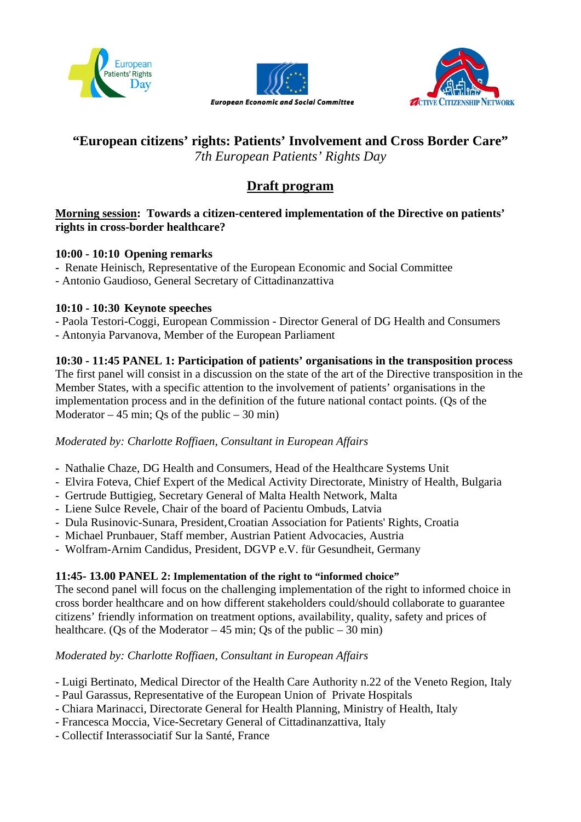





# **"European citizens' rights: Patients' Involvement and Cross Border Care"**  *7th European Patients' Rights Day*

# **Draft program**

# **Morning session: Towards a citizen-centered implementation of the Directive on patients' rights in cross-border healthcare?**

# **10:00 - 10:10 Opening remarks**

- Renate Heinisch, Representative of the European Economic and Social Committee
- Antonio Gaudioso, General Secretary of Cittadinanzattiva

# **10:10 - 10:30 Keynote speeches**

- Paola Testori-Coggi, European Commission Director General of DG Health and Consumers
- Antonyia Parvanova, Member of the European Parliament

# **10:30 - 11:45 PANEL 1: Participation of patients' organisations in the transposition process**

The first panel will consist in a discussion on the state of the art of the Directive transposition in the Member States, with a specific attention to the involvement of patients' organisations in the implementation process and in the definition of the future national contact points. (Qs of the Moderator  $-45$  min; Qs of the public  $-30$  min)

*Moderated by: Charlotte Roffiaen, Consultant in European Affairs* 

- Nathalie Chaze, DG Health and Consumers, Head of the Healthcare Systems Unit
- Elvira Foteva, Chief Expert of the Medical Activity Directorate, Ministry of Health, Bulgaria
- Gertrude Buttigieg, Secretary General of Malta Health Network, Malta
- Liene Sulce Revele, Chair of the board of Pacientu Ombuds, Latvia
- Dula Rusinovic-Sunara, President, Croatian Association for Patients' Rights, Croatia
- Michael Prunbauer, Staff member, Austrian Patient Advocacies, Austria
- Wolfram-Arnim Candidus, President, DGVP e.V. für Gesundheit, Germany

# **11:45- 13.00 PANEL 2: Implementation of the right to "informed choice"**

The second panel will focus on the challenging implementation of the right to informed choice in cross border healthcare and on how different stakeholders could/should collaborate to guarantee citizens' friendly information on treatment options, availability, quality, safety and prices of healthcare. (Qs of the Moderator  $-45$  min; Qs of the public  $-30$  min)

# *Moderated by: Charlotte Roffiaen, Consultant in European Affairs*

- Luigi Bertinato, Medical Director of the Health Care Authority n.22 of the Veneto Region, Italy
- Paul Garassus, Representative of the European Union of Private Hospitals
- Chiara Marinacci, Directorate General for Health Planning, Ministry of Health, Italy
- Francesca Moccia, Vice-Secretary General of Cittadinanzattiva, Italy
- Collectif Interassociatif Sur la Santé, France